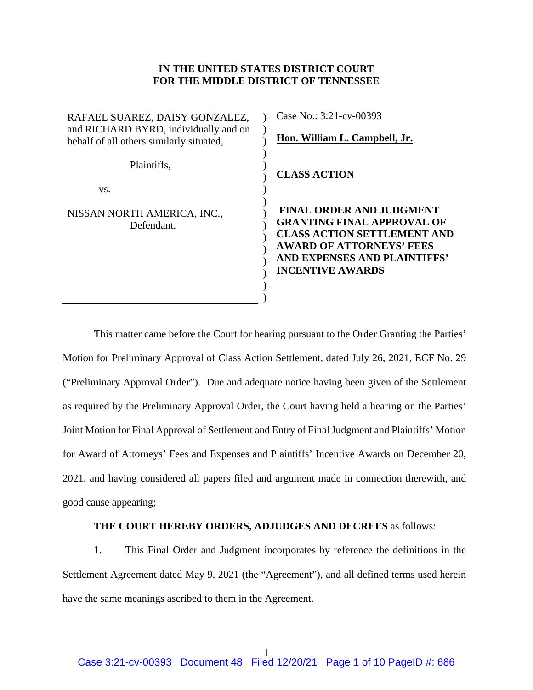## **IN THE UNITED STATES DISTRICT COURT FOR THE MIDDLE DISTRICT OF TENNESSEE**

 $\mathcal{L}$  $\lambda$  $\lambda$  $\lambda$ ) )  $\lambda$ ) ) ) ) ) ) ) ) )

RAFAEL SUAREZ, DAISY GONZALEZ, and RICHARD BYRD, individually and on behalf of all others similarly situated,

Plaintiffs,

vs.

NISSAN NORTH AMERICA, INC., Defendant.

Case No.: 3:21-cv-00393

**Hon. William L. Campbell, Jr.** 

**CLASS ACTION** 

**FINAL ORDER AND JUDGMENT GRANTING FINAL APPROVAL OF CLASS ACTION SETTLEMENT AND AWARD OF ATTORNEYS' FEES AND EXPENSES AND PLAINTIFFS' INCENTIVE AWARDS**

This matter came before the Court for hearing pursuant to the Order Granting the Parties' Motion for Preliminary Approval of Class Action Settlement, dated July 26, 2021, ECF No. 29 ("Preliminary Approval Order"). Due and adequate notice having been given of the Settlement as required by the Preliminary Approval Order, the Court having held a hearing on the Parties' Joint Motion for Final Approval of Settlement and Entry of Final Judgment and Plaintiffs' Motion for Award of Attorneys' Fees and Expenses and Plaintiffs' Incentive Awards on December 20, 2021, and having considered all papers filed and argument made in connection therewith, and good cause appearing;

## **THE COURT HEREBY ORDERS, ADJUDGES AND DECREES** as follows:

1. This Final Order and Judgment incorporates by reference the definitions in the Settlement Agreement dated May 9, 2021 (the "Agreement"), and all defined terms used herein have the same meanings ascribed to them in the Agreement.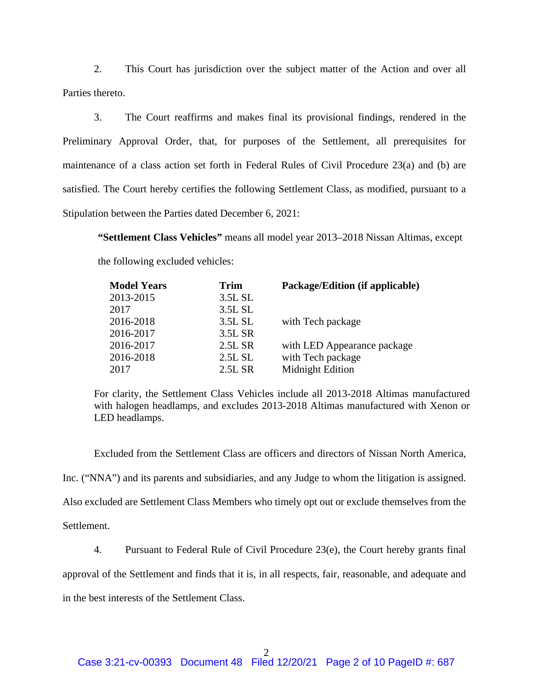2. This Court has jurisdiction over the subject matter of the Action and over all Parties thereto.

3. The Court reaffirms and makes final its provisional findings, rendered in the Preliminary Approval Order, that, for purposes of the Settlement, all prerequisites for maintenance of a class action set forth in Federal Rules of Civil Procedure 23(a) and (b) are satisfied. The Court hereby certifies the following Settlement Class, as modified, pursuant to a Stipulation between the Parties dated December 6, 2021:

**"Settlement Class Vehicles"** means all model year 2013–2018 Nissan Altimas, except the following excluded vehicles:

| <b>Model Years</b> | <b>Trim</b> | Package/Edition (if applicable) |  |  |
|--------------------|-------------|---------------------------------|--|--|
| 2013-2015          | 3.5L SL     |                                 |  |  |
| 2017               | 3.5L SL     |                                 |  |  |
| 2016-2018          | 3.5L SL     | with Tech package               |  |  |
| 2016-2017          | 3.5L SR     |                                 |  |  |
| 2016-2017          | 2.5L SR     | with LED Appearance package     |  |  |
| 2016-2018          | 2.5L SL     | with Tech package               |  |  |
| 2017               | 2.5L SR     | Midnight Edition                |  |  |

For clarity, the Settlement Class Vehicles include all 2013-2018 Altimas manufactured with halogen headlamps, and excludes 2013-2018 Altimas manufactured with Xenon or LED headlamps.

Excluded from the Settlement Class are officers and directors of Nissan North America,

Inc. ("NNA") and its parents and subsidiaries, and any Judge to whom the litigation is assigned.

Also excluded are Settlement Class Members who timely opt out or exclude themselves from the

Settlement.

4. Pursuant to Federal Rule of Civil Procedure 23(e), the Court hereby grants final

approval of the Settlement and finds that it is, in all respects, fair, reasonable, and adequate and

in the best interests of the Settlement Class.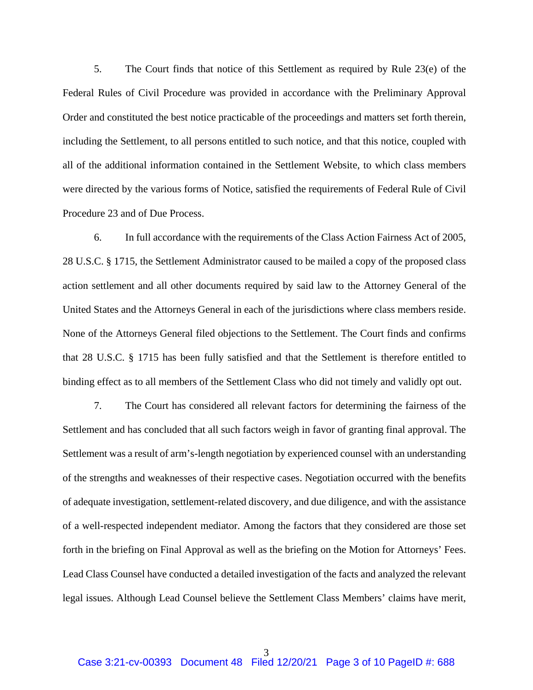5. The Court finds that notice of this Settlement as required by Rule 23(e) of the Federal Rules of Civil Procedure was provided in accordance with the Preliminary Approval Order and constituted the best notice practicable of the proceedings and matters set forth therein, including the Settlement, to all persons entitled to such notice, and that this notice, coupled with all of the additional information contained in the Settlement Website, to which class members were directed by the various forms of Notice, satisfied the requirements of Federal Rule of Civil Procedure 23 and of Due Process.

6. In full accordance with the requirements of the Class Action Fairness Act of 2005, 28 U.S.C. § 1715, the Settlement Administrator caused to be mailed a copy of the proposed class action settlement and all other documents required by said law to the Attorney General of the United States and the Attorneys General in each of the jurisdictions where class members reside. None of the Attorneys General filed objections to the Settlement. The Court finds and confirms that 28 U.S.C. § 1715 has been fully satisfied and that the Settlement is therefore entitled to binding effect as to all members of the Settlement Class who did not timely and validly opt out.

7. The Court has considered all relevant factors for determining the fairness of the Settlement and has concluded that all such factors weigh in favor of granting final approval. The Settlement was a result of arm's-length negotiation by experienced counsel with an understanding of the strengths and weaknesses of their respective cases. Negotiation occurred with the benefits of adequate investigation, settlement-related discovery, and due diligence, and with the assistance of a well-respected independent mediator. Among the factors that they considered are those set forth in the briefing on Final Approval as well as the briefing on the Motion for Attorneys' Fees. Lead Class Counsel have conducted a detailed investigation of the facts and analyzed the relevant legal issues. Although Lead Counsel believe the Settlement Class Members' claims have merit,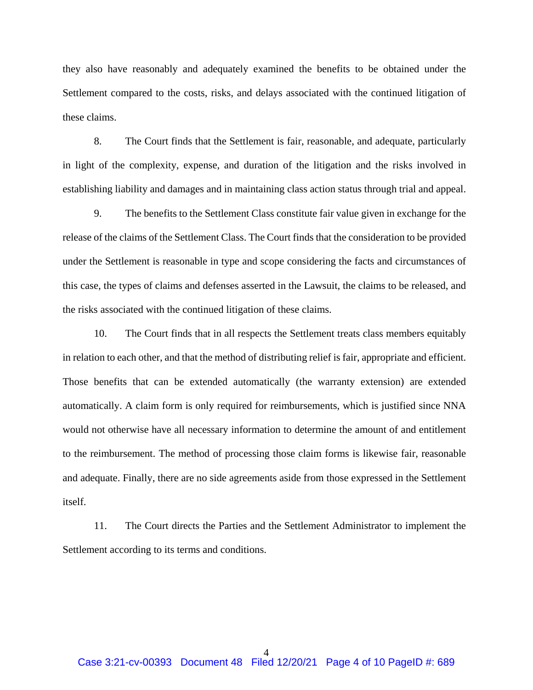they also have reasonably and adequately examined the benefits to be obtained under the Settlement compared to the costs, risks, and delays associated with the continued litigation of these claims.

8. The Court finds that the Settlement is fair, reasonable, and adequate, particularly in light of the complexity, expense, and duration of the litigation and the risks involved in establishing liability and damages and in maintaining class action status through trial and appeal.

9. The benefits to the Settlement Class constitute fair value given in exchange for the release of the claims of the Settlement Class. The Court finds that the consideration to be provided under the Settlement is reasonable in type and scope considering the facts and circumstances of this case, the types of claims and defenses asserted in the Lawsuit, the claims to be released, and the risks associated with the continued litigation of these claims.

10. The Court finds that in all respects the Settlement treats class members equitably in relation to each other, and that the method of distributing relief is fair, appropriate and efficient. Those benefits that can be extended automatically (the warranty extension) are extended automatically. A claim form is only required for reimbursements, which is justified since NNA would not otherwise have all necessary information to determine the amount of and entitlement to the reimbursement. The method of processing those claim forms is likewise fair, reasonable and adequate. Finally, there are no side agreements aside from those expressed in the Settlement itself.

11. The Court directs the Parties and the Settlement Administrator to implement the Settlement according to its terms and conditions.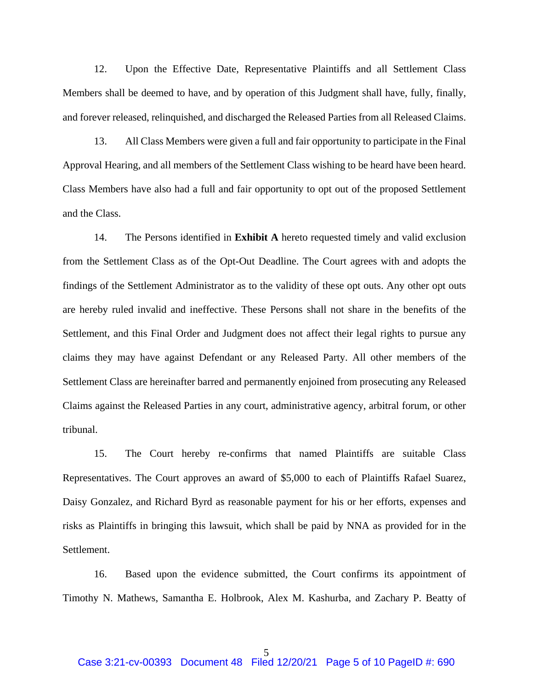12. Upon the Effective Date, Representative Plaintiffs and all Settlement Class Members shall be deemed to have, and by operation of this Judgment shall have, fully, finally, and forever released, relinquished, and discharged the Released Parties from all Released Claims.

13. All Class Members were given a full and fair opportunity to participate in the Final Approval Hearing, and all members of the Settlement Class wishing to be heard have been heard. Class Members have also had a full and fair opportunity to opt out of the proposed Settlement and the Class.

14. The Persons identified in **Exhibit A** hereto requested timely and valid exclusion from the Settlement Class as of the Opt-Out Deadline. The Court agrees with and adopts the findings of the Settlement Administrator as to the validity of these opt outs. Any other opt outs are hereby ruled invalid and ineffective. These Persons shall not share in the benefits of the Settlement, and this Final Order and Judgment does not affect their legal rights to pursue any claims they may have against Defendant or any Released Party. All other members of the Settlement Class are hereinafter barred and permanently enjoined from prosecuting any Released Claims against the Released Parties in any court, administrative agency, arbitral forum, or other tribunal.

15. The Court hereby re-confirms that named Plaintiffs are suitable Class Representatives. The Court approves an award of \$5,000 to each of Plaintiffs Rafael Suarez, Daisy Gonzalez, and Richard Byrd as reasonable payment for his or her efforts, expenses and risks as Plaintiffs in bringing this lawsuit, which shall be paid by NNA as provided for in the Settlement.

16. Based upon the evidence submitted, the Court confirms its appointment of Timothy N. Mathews, Samantha E. Holbrook, Alex M. Kashurba, and Zachary P. Beatty of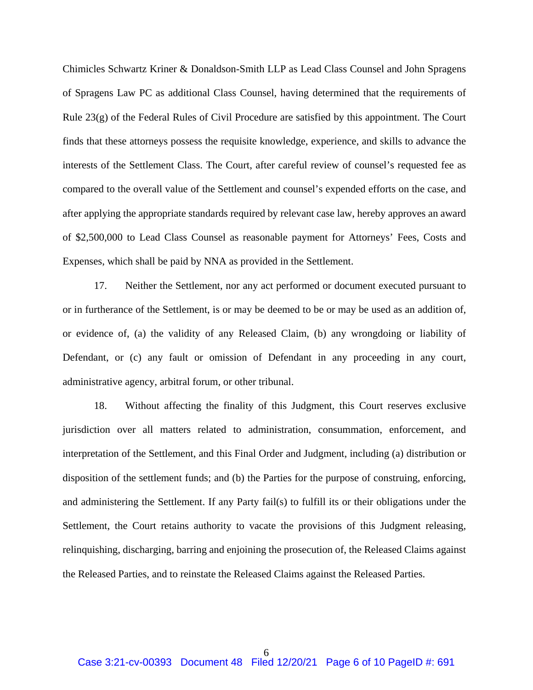Chimicles Schwartz Kriner & Donaldson-Smith LLP as Lead Class Counsel and John Spragens of Spragens Law PC as additional Class Counsel, having determined that the requirements of Rule 23(g) of the Federal Rules of Civil Procedure are satisfied by this appointment. The Court finds that these attorneys possess the requisite knowledge, experience, and skills to advance the interests of the Settlement Class. The Court, after careful review of counsel's requested fee as compared to the overall value of the Settlement and counsel's expended efforts on the case, and after applying the appropriate standards required by relevant case law, hereby approves an award of \$2,500,000 to Lead Class Counsel as reasonable payment for Attorneys' Fees, Costs and Expenses, which shall be paid by NNA as provided in the Settlement.

17. Neither the Settlement, nor any act performed or document executed pursuant to or in furtherance of the Settlement, is or may be deemed to be or may be used as an addition of, or evidence of, (a) the validity of any Released Claim, (b) any wrongdoing or liability of Defendant, or (c) any fault or omission of Defendant in any proceeding in any court, administrative agency, arbitral forum, or other tribunal.

18. Without affecting the finality of this Judgment, this Court reserves exclusive jurisdiction over all matters related to administration, consummation, enforcement, and interpretation of the Settlement, and this Final Order and Judgment, including (a) distribution or disposition of the settlement funds; and (b) the Parties for the purpose of construing, enforcing, and administering the Settlement. If any Party fail(s) to fulfill its or their obligations under the Settlement, the Court retains authority to vacate the provisions of this Judgment releasing, relinquishing, discharging, barring and enjoining the prosecution of, the Released Claims against the Released Parties, and to reinstate the Released Claims against the Released Parties.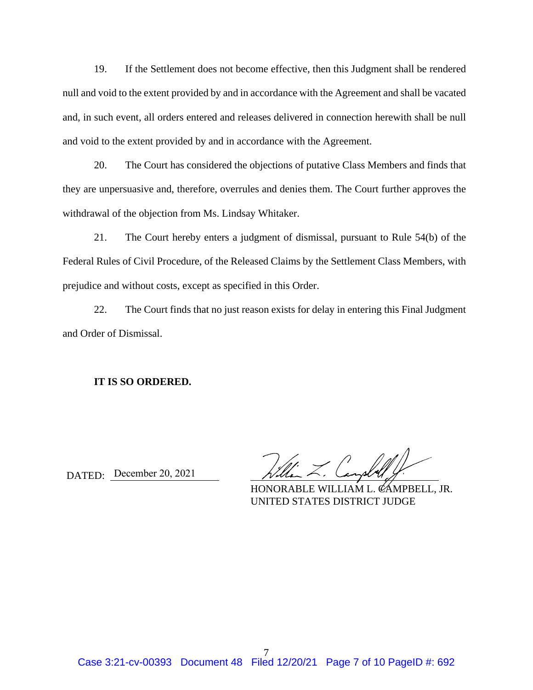19. If the Settlement does not become effective, then this Judgment shall be rendered null and void to the extent provided by and in accordance with the Agreement and shall be vacated and, in such event, all orders entered and releases delivered in connection herewith shall be null and void to the extent provided by and in accordance with the Agreement.

20. The Court has considered the objections of putative Class Members and finds that they are unpersuasive and, therefore, overrules and denies them. The Court further approves the withdrawal of the objection from Ms. Lindsay Whitaker.

21. The Court hereby enters a judgment of dismissal, pursuant to Rule 54(b) of the Federal Rules of Civil Procedure, of the Released Claims by the Settlement Class Members, with prejudice and without costs, except as specified in this Order.

22. The Court finds that no just reason exists for delay in entering this Final Judgment and Order of Dismissal.

## **IT IS SO ORDERED.**

DATED: December 20, 2021

HONORABLE WILLIAM L. CAMPBELL, JR. UNITED STATES DISTRICT JUDGE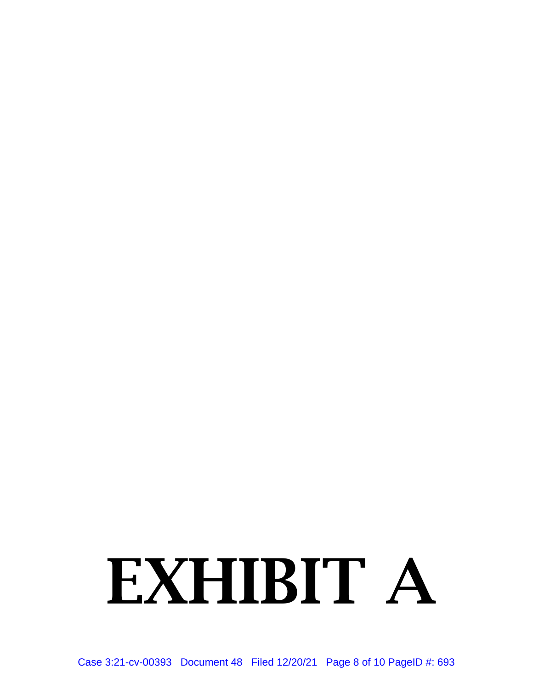## EXHIBIT A

Case 3:21-cv-00393 Document 48 Filed 12/20/21 Page 8 of 10 PageID #: 693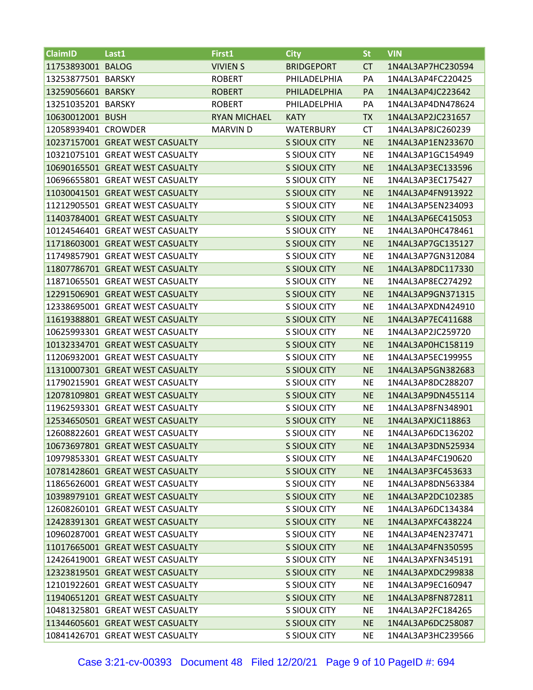| <b>ClaimID</b>      | Last1                           | First1              | <b>City</b>         | <b>St</b> | <b>VIN</b>        |
|---------------------|---------------------------------|---------------------|---------------------|-----------|-------------------|
| 11753893001 BALOG   |                                 | <b>VIVIEN S</b>     | <b>BRIDGEPORT</b>   | <b>CT</b> | 1N4AL3AP7HC230594 |
| 13253877501 BARSKY  |                                 | <b>ROBERT</b>       | PHILADELPHIA        | PA        | 1N4AL3AP4FC220425 |
| 13259056601 BARSKY  |                                 | <b>ROBERT</b>       | PHILADELPHIA        | <b>PA</b> | 1N4AL3AP4JC223642 |
| 13251035201 BARSKY  |                                 | <b>ROBERT</b>       | PHILADELPHIA        | PA        | 1N4AL3AP4DN478624 |
| 10630012001 BUSH    |                                 | <b>RYAN MICHAEL</b> | <b>KATY</b>         | <b>TX</b> | 1N4AL3AP2JC231657 |
| 12058939401 CROWDER |                                 | <b>MARVIN D</b>     | <b>WATERBURY</b>    | <b>CT</b> | 1N4AL3AP8JC260239 |
|                     | 10237157001 GREAT WEST CASUALTY |                     | <b>S SIOUX CITY</b> | <b>NE</b> | 1N4AL3AP1EN233670 |
|                     | 10321075101 GREAT WEST CASUALTY |                     | S SIOUX CITY        | <b>NE</b> | 1N4AL3AP1GC154949 |
|                     | 10690165501 GREAT WEST CASUALTY |                     | <b>S SIOUX CITY</b> | <b>NE</b> | 1N4AL3AP3EC133596 |
|                     | 10696655801 GREAT WEST CASUALTY |                     | S SIOUX CITY        | <b>NE</b> | 1N4AL3AP3EC175427 |
|                     | 11030041501 GREAT WEST CASUALTY |                     | <b>S SIOUX CITY</b> | <b>NE</b> | 1N4AL3AP4FN913922 |
|                     | 11212905501 GREAT WEST CASUALTY |                     | <b>S SIOUX CITY</b> | <b>NE</b> | 1N4AL3AP5EN234093 |
|                     | 11403784001 GREAT WEST CASUALTY |                     | <b>S SIOUX CITY</b> | <b>NE</b> | 1N4AL3AP6EC415053 |
|                     | 10124546401 GREAT WEST CASUALTY |                     | S SIOUX CITY        | <b>NE</b> | 1N4AL3AP0HC478461 |
|                     | 11718603001 GREAT WEST CASUALTY |                     | <b>S SIOUX CITY</b> | <b>NE</b> | 1N4AL3AP7GC135127 |
|                     | 11749857901 GREAT WEST CASUALTY |                     | S SIOUX CITY        | <b>NE</b> | 1N4AL3AP7GN312084 |
|                     | 11807786701 GREAT WEST CASUALTY |                     | <b>S SIOUX CITY</b> | <b>NE</b> | 1N4AL3AP8DC117330 |
|                     | 11871065501 GREAT WEST CASUALTY |                     | S SIOUX CITY        | <b>NE</b> | 1N4AL3AP8EC274292 |
|                     | 12291506901 GREAT WEST CASUALTY |                     | <b>S SIOUX CITY</b> | <b>NE</b> | 1N4AL3AP9GN371315 |
|                     | 12338695001 GREAT WEST CASUALTY |                     | S SIOUX CITY        | <b>NE</b> | 1N4AL3APXDN424910 |
|                     | 11619388801 GREAT WEST CASUALTY |                     | <b>S SIOUX CITY</b> | <b>NE</b> | 1N4AL3AP7EC411688 |
|                     | 10625993301 GREAT WEST CASUALTY |                     | S SIOUX CITY        | <b>NE</b> | 1N4AL3AP2JC259720 |
|                     | 10132334701 GREAT WEST CASUALTY |                     | <b>S SIOUX CITY</b> | <b>NE</b> | 1N4AL3AP0HC158119 |
|                     | 11206932001 GREAT WEST CASUALTY |                     | <b>S SIOUX CITY</b> | <b>NE</b> | 1N4AL3AP5EC199955 |
|                     | 11310007301 GREAT WEST CASUALTY |                     | <b>S SIOUX CITY</b> | <b>NE</b> | 1N4AL3AP5GN382683 |
|                     | 11790215901 GREAT WEST CASUALTY |                     | S SIOUX CITY        | <b>NE</b> | 1N4AL3AP8DC288207 |
|                     | 12078109801 GREAT WEST CASUALTY |                     | <b>S SIOUX CITY</b> | <b>NE</b> | 1N4AL3AP9DN455114 |
|                     | 11962593301 GREAT WEST CASUALTY |                     | S SIOUX CITY        | <b>NE</b> | 1N4AL3AP8FN348901 |
|                     | 12534650501 GREAT WEST CASUALTY |                     | <b>S SIOUX CITY</b> | <b>NE</b> | 1N4AL3APXJC118863 |
|                     | 12608822601 GREAT WEST CASUALTY |                     | S SIOUX CITY        | <b>NE</b> | 1N4AL3AP6DC136202 |
|                     | 10673697801 GREAT WEST CASUALTY |                     | S SIOUX CITY        | <b>NE</b> | 1N4AL3AP3DN525934 |
|                     | 10979853301 GREAT WEST CASUALTY |                     | S SIOUX CITY        | <b>NE</b> | 1N4AL3AP4FC190620 |
|                     | 10781428601 GREAT WEST CASUALTY |                     | S SIOUX CITY        | <b>NE</b> | 1N4AL3AP3FC453633 |
|                     | 11865626001 GREAT WEST CASUALTY |                     | S SIOUX CITY        | <b>NE</b> | 1N4AL3AP8DN563384 |
|                     | 10398979101 GREAT WEST CASUALTY |                     | <b>S SIOUX CITY</b> | <b>NE</b> | 1N4AL3AP2DC102385 |
|                     | 12608260101 GREAT WEST CASUALTY |                     | S SIOUX CITY        | <b>NE</b> | 1N4AL3AP6DC134384 |
|                     | 12428391301 GREAT WEST CASUALTY |                     | S SIOUX CITY        | <b>NE</b> | 1N4AL3APXFC438224 |
|                     | 10960287001 GREAT WEST CASUALTY |                     | S SIOUX CITY        | <b>NE</b> | 1N4AL3AP4EN237471 |
|                     | 11017665001 GREAT WEST CASUALTY |                     | <b>S SIOUX CITY</b> | <b>NE</b> | 1N4AL3AP4FN350595 |
|                     | 12426419001 GREAT WEST CASUALTY |                     | S SIOUX CITY        | <b>NE</b> | 1N4AL3APXFN345191 |
|                     | 12323819501 GREAT WEST CASUALTY |                     | S SIOUX CITY        | <b>NE</b> | 1N4AL3APXDC299838 |
|                     | 12101922601 GREAT WEST CASUALTY |                     | S SIOUX CITY        | <b>NE</b> | 1N4AL3AP9EC160947 |
|                     | 11940651201 GREAT WEST CASUALTY |                     | S SIOUX CITY        | <b>NE</b> | 1N4AL3AP8FN872811 |
|                     | 10481325801 GREAT WEST CASUALTY |                     | S SIOUX CITY        | <b>NE</b> | 1N4AL3AP2FC184265 |
|                     | 11344605601 GREAT WEST CASUALTY |                     | S SIOUX CITY        | <b>NE</b> | 1N4AL3AP6DC258087 |
|                     | 10841426701 GREAT WEST CASUALTY |                     | S SIOUX CITY        | <b>NE</b> | 1N4AL3AP3HC239566 |